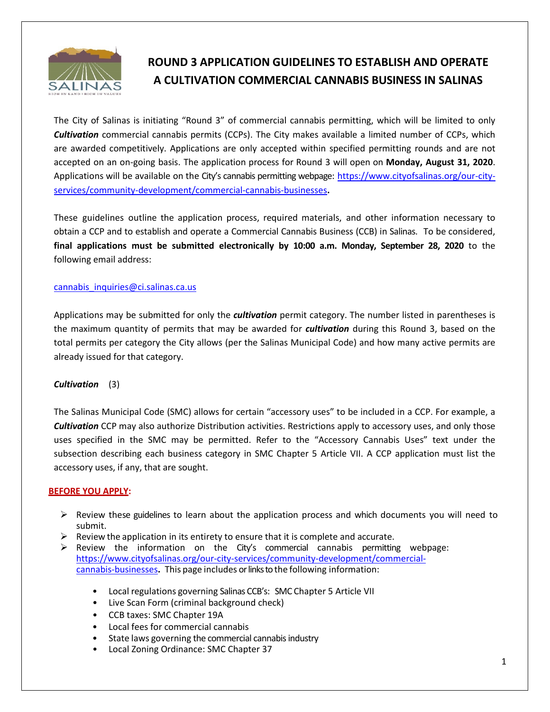

# **ROUND 3 APPLICATION GUIDELINES TO ESTABLISH AND OPERATE A CULTIVATION COMMERCIAL CANNABIS BUSINESS IN SALINAS**

The City of Salinas is initiating "Round 3" of commercial cannabis permitting, which will be limited to only *Cultivation* commercial cannabis permits (CCPs). The City makes available a limited number of CCPs, which are awarded competitively. Applications are only accepted within specified permitting rounds and are not accepted on an on-going basis. The application process for Round 3 will open on **Monday, August 31, 2020**. Applications will be available on the City's cannabis permitting webpage: [https://www.cityofsalinas.org/our-city](https://www.cityofsalinas.org/our-city-services/community-development/commercial-cannabis-businesses)[services/community-development/commercial-cannabis-businesses](https://www.cityofsalinas.org/our-city-services/community-development/commercial-cannabis-businesses)**.** 

These guidelines outline the application process, required materials, and other information necessary to obtain a CCP and to establish and operate a Commercial Cannabis Business (CCB) in Salinas. To be considered, **final applications must be submitted electronically by 10:00 a.m. Monday, September 28, 2020** to the following email address:

#### [cannabis\\_inquiries@ci.salinas.ca.us](mailto:cannabis_inquiries@ci.salinas.ca.us)

Applications may be submitted for only the *cultivation* permit category. The number listed in parentheses is the maximum quantity of permits that may be awarded for *cultivation* during this Round 3, based on the total permits per category the City allows (per the Salinas Municipal Code) and how many active permits are already issued for that category.

## *Cultivation* (3)

The Salinas Municipal Code (SMC) allows for certain "accessory uses" to be included in a CCP. For example, a *Cultivation* CCP may also authorize Distribution activities. Restrictions apply to accessory uses, and only those uses specified in the SMC may be permitted. Refer to the "Accessory Cannabis Uses" text under the subsection describing each business category in SMC Chapter 5 Article VII. A CCP application must list the accessory uses, if any, that are sought.

#### **BEFORE YOU APPLY:**

- $\triangleright$  Review these guidelines to learn about the application process and which documents you will need to submit.
- $\triangleright$  Review the application in its entirety to ensure that it is complete and accurate.
- $\triangleright$  Review the information on the City's commercial cannabis permitting webpage: [https://www.cityofsalinas.org/our-city-services/community-development/commercial](https://www.cityofsalinas.org/our-city-services/community-development/commercial-cannabis-businesses)[cannabis-businesses](https://www.cityofsalinas.org/our-city-services/community-development/commercial-cannabis-businesses)**.** This page includes or links to the following information:
	- Local regulations governing Salinas CCB's: SMC Chapter 5 Article VII
	- Live Scan Form (criminal background check)
	- CCB taxes: SMC Chapter 19A
	- Local fees for commercial cannabis
	- State laws governing the commercial cannabis industry
	- Local Zoning Ordinance: SMC Chapter 37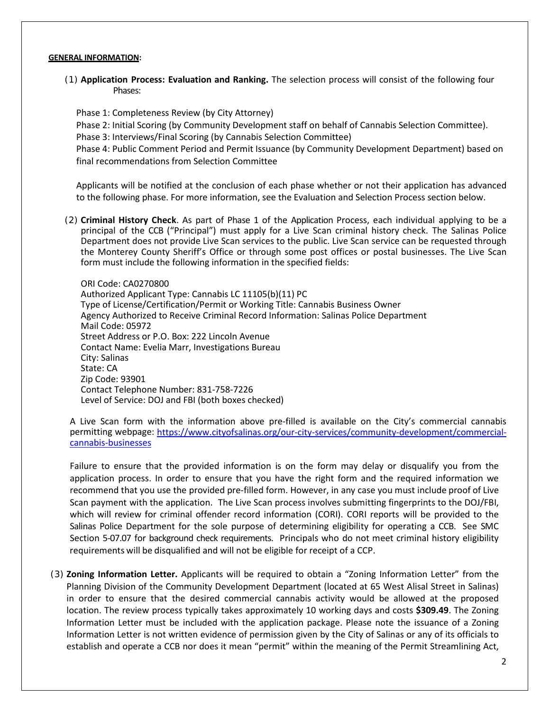#### **GENERAL INFORMATION:**

(1) **Application Process: Evaluation and Ranking.** The selection process will consist of the following four Phases:

Phase 1: Completeness Review (by City Attorney)

Phase 2: Initial Scoring (by Community Development staff on behalf of Cannabis Selection Committee). Phase 3: Interviews/Final Scoring (by Cannabis Selection Committee)

Phase 4: Public Comment Period and Permit Issuance (by Community Development Department) based on final recommendations from Selection Committee

Applicants will be notified at the conclusion of each phase whether or not their application has advanced to the following phase. For more information, see the Evaluation and Selection Process section below.

(2) **Criminal History Check**. As part of Phase 1 of the Application Process, each individual applying to be a principal of the CCB ("Principal") must apply for a Live Scan criminal history check. The Salinas Police Department does not provide Live Scan services to the public. Live Scan service can be requested through the Monterey County Sheriff's Office or through some post offices or postal businesses. The Live Scan form must include the following information in the specified fields:

ORI Code: CA0270800 Authorized Applicant Type: Cannabis LC 11105(b)(11) PC Type of License/Certification/Permit or Working Title: Cannabis Business Owner Agency Authorized to Receive Criminal Record Information: Salinas Police Department Mail Code: 05972 Street Address or P.O. Box: 222 Lincoln Avenue Contact Name: Evelia Marr, Investigations Bureau City: Salinas State: CA Zip Code: 93901 Contact Telephone Number: 831-758-7226 Level of Service: DOJ and FBI (both boxes checked)

A Live Scan form with the information above pre-filled is available on the City's commercial cannabis permitting webpage: [https://www.cityofsalinas.org/our-city-services/community-development/commercial](https://www.cityofsalinas.org/our-city-services/community-development/commercial-cannabis-businesses)[cannabis-businesses](https://www.cityofsalinas.org/our-city-services/community-development/commercial-cannabis-businesses)

Failure to ensure that the provided information is on the form may delay or disqualify you from the application process. In order to ensure that you have the right form and the required information we recommend that you use the provided pre-filled form. However, in any case you must include proof of Live Scan payment with the application. The Live Scan process involves submitting fingerprints to the DOJ/FBI, which will review for criminal offender record information (CORI). CORI reports will be provided to the Salinas Police Department for the sole purpose of determining eligibility for operating a CCB. See SMC Section 5-07.07 for background check requirements. Principals who do not meet criminal history eligibility requirements will be disqualified and will not be eligible for receipt of a CCP.

(3) **Zoning Information Letter.** Applicants will be required to obtain a "Zoning Information Letter" from the Planning Division of the Community Development Department (located at 65 West Alisal Street in Salinas) in order to ensure that the desired commercial cannabis activity would be allowed at the proposed location. The review process typically takes approximately 10 working days and costs **\$309.49**. The Zoning Information Letter must be included with the application package. Please note the issuance of a Zoning Information Letter is not written evidence of permission given by the City of Salinas or any of its officials to establish and operate a CCB nor does it mean "permit" within the meaning of the Permit Streamlining Act,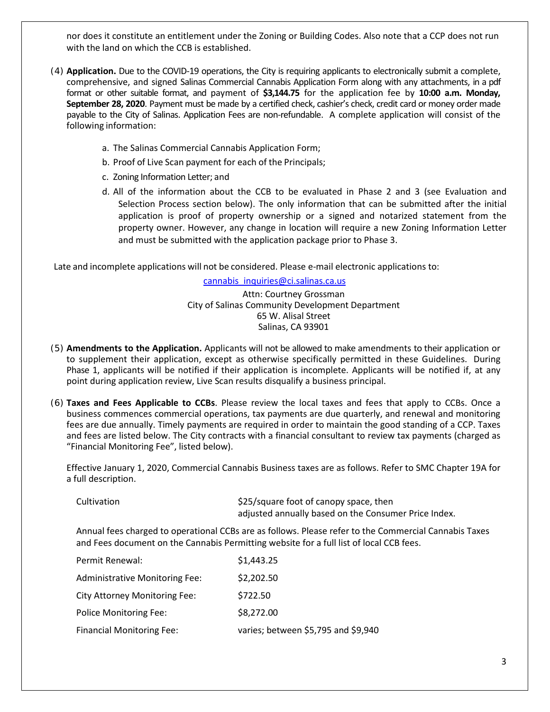nor does it constitute an entitlement under the Zoning or Building Codes. Also note that a CCP does not run with the land on which the CCB is established.

- (4) **Application.** Due to the COVID-19 operations, the City is requiring applicants to electronically submit a complete, comprehensive, and signed Salinas Commercial Cannabis Application Form along with any attachments, in a pdf format or other suitable format, and payment of **\$3,144.75** for the application fee by **10:00 a.m. Monday, September 28, 2020**. Payment must be made by a certified check, cashier's check, credit card or money order made payable to the City of Salinas. Application Fees are non-refundable. A complete application will consist of the following information:
	- a. The Salinas Commercial Cannabis Application Form;
	- b. Proof of Live Scan payment for each of the Principals;
	- c. Zoning Information Letter; and
	- d. All of the information about the CCB to be evaluated in Phase 2 and 3 (see Evaluation and Selection Process section below). The only information that can be submitted after the initial application is proof of property ownership or a signed and notarized statement from the property owner. However, any change in location will require a new Zoning Information Letter and must be submitted with the application package prior to Phase 3.

Late and incomplete applications will not be considered. Please e-mail electronic applications to:

[cannabis\\_inquiries@ci.salinas.ca.us](mailto:cannabis_inquiries@ci.salinas.ca.us)

Attn: Courtney Grossman City of Salinas Community Development Department 65 W. Alisal Street Salinas, CA 93901

- (5) **Amendments to the Application.** Applicants will not be allowed to make amendments to their application or to supplement their application, except as otherwise specifically permitted in these Guidelines. During Phase 1, applicants will be notified if their application is incomplete. Applicants will be notified if, at any point during application review, Live Scan results disqualify a business principal.
- (6) **Taxes and Fees Applicable to CCBs**. Please review the local taxes and fees that apply to CCBs. Once a business commences commercial operations, tax payments are due quarterly, and renewal and monitoring fees are due annually. Timely payments are required in order to maintain the good standing of a CCP. Taxes and fees are listed below. The City contracts with a financial consultant to review tax payments (charged as "Financial Monitoring Fee", listed below).

Effective January 1, 2020, Commercial Cannabis Business taxes are as follows. Refer to SMC Chapter 19A for a full description.

| Cultivation | \$25/square foot of canopy space, then<br>adjusted annually based on the Consumer Price Index.        |
|-------------|-------------------------------------------------------------------------------------------------------|
|             | Annual fees charged to operational CCBs are as follows. Please refer to the Commercial Cannabis Taxes |

and Fees document on the Cannabis Permitting website for a full list of local CCB fees.

| Permit Renewal:                      | \$1,443.25                          |
|--------------------------------------|-------------------------------------|
| Administrative Monitoring Fee:       | \$2,202.50                          |
| <b>City Attorney Monitoring Fee:</b> | \$722.50                            |
| Police Monitoring Fee:               | \$8,272.00                          |
| <b>Financial Monitoring Fee:</b>     | varies; between \$5,795 and \$9,940 |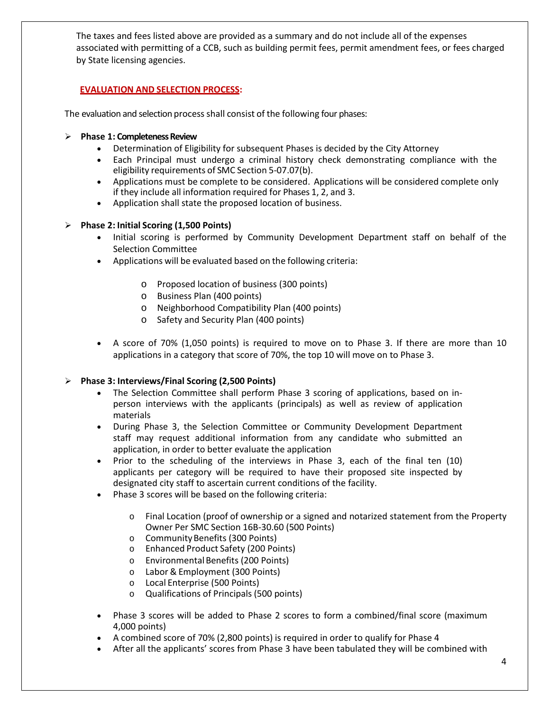The taxes and fees listed above are provided as a summary and do not include all of the expenses associated with permitting of a CCB, such as building permit fees, permit amendment fees, or fees charged by State licensing agencies.

### **EVALUATION AND SELECTION PROCESS:**

The evaluation and selection process shall consist of the following four phases:

#### **Phase 1: Completeness Review**

- Determination of Eligibility for subsequent Phases is decided by the City Attorney
- Each Principal must undergo a criminal history check demonstrating compliance with the eligibility requirements of SMC Section 5-07.07(b).
- Applications must be complete to be considered. Applications will be considered complete only if they include all information required for Phases 1, 2, and 3.
- Application shall state the proposed location of business.

#### **Phase 2: Initial Scoring (1,500 Points)**

- Initial scoring is performed by Community Development Department staff on behalf of the Selection Committee
- Applications will be evaluated based on the following criteria:
	- o Proposed location of business (300 points)
	- o Business Plan (400 points)
	- o Neighborhood Compatibility Plan (400 points)
	- o Safety and Security Plan (400 points)
- A score of 70% (1,050 points) is required to move on to Phase 3. If there are more than 10 applications in a category that score of 70%, the top 10 will move on to Phase 3.

#### **Phase 3: Interviews/Final Scoring (2,500 Points)**

- The Selection Committee shall perform Phase 3 scoring of applications, based on inperson interviews with the applicants (principals) as well as review of application materials
- During Phase 3, the Selection Committee or Community Development Department staff may request additional information from any candidate who submitted an application, in order to better evaluate the application
- Prior to the scheduling of the interviews in Phase 3, each of the final ten (10) applicants per category will be required to have their proposed site inspected by designated city staff to ascertain current conditions of the facility.
- Phase 3 scores will be based on the following criteria:
	- o Final Location (proof of ownership or a signed and notarized statement from the Property Owner Per SMC Section 16B-30.60 (500 Points)
	- o CommunityBenefits (300 Points)
	- o Enhanced Product Safety (200 Points)
	- o EnvironmentalBenefits (200 Points)
	- o Labor & Employment (300 Points)
	- o Local Enterprise (500 Points)
	- o Qualifications of Principals (500 points)
- Phase 3 scores will be added to Phase 2 scores to form a combined/final score (maximum 4,000 points)
- A combined score of 70% (2,800 points) is required in order to qualify for Phase 4
- After all the applicants' scores from Phase 3 have been tabulated they will be combined with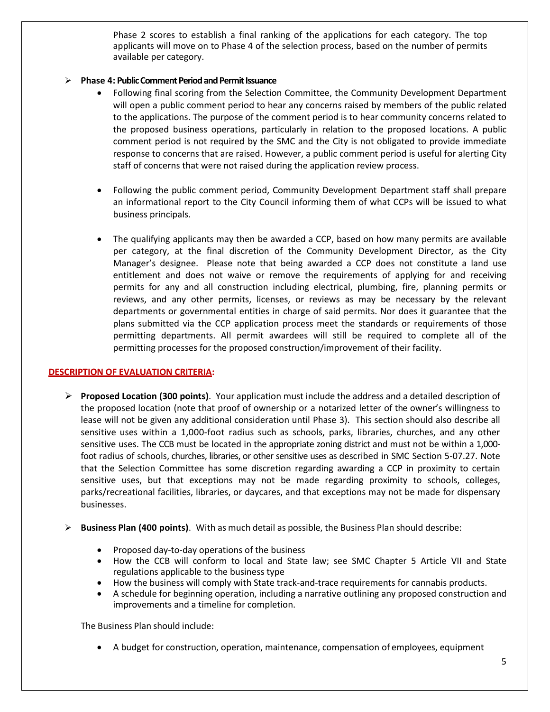Phase 2 scores to establish a final ranking of the applications for each category. The top applicants will move on to Phase 4 of the selection process, based on the number of permits available per category.

#### **Phase 4: Public Comment Periodand Permit Issuance**

- Following final scoring from the Selection Committee, the Community Development Department will open a public comment period to hear any concerns raised by members of the public related to the applications. The purpose of the comment period is to hear community concerns related to the proposed business operations, particularly in relation to the proposed locations. A public comment period is not required by the SMC and the City is not obligated to provide immediate response to concerns that are raised. However, a public comment period is useful for alerting City staff of concerns that were not raised during the application review process.
- Following the public comment period, Community Development Department staff shall prepare an informational report to the City Council informing them of what CCPs will be issued to what business principals.
- The qualifying applicants may then be awarded a CCP, based on how many permits are available per category, at the final discretion of the Community Development Director, as the City Manager's designee. Please note that being awarded a CCP does not constitute a land use entitlement and does not waive or remove the requirements of applying for and receiving permits for any and all construction including electrical, plumbing, fire, planning permits or reviews, and any other permits, licenses, or reviews as may be necessary by the relevant departments or governmental entities in charge of said permits. Nor does it guarantee that the plans submitted via the CCP application process meet the standards or requirements of those permitting departments. All permit awardees will still be required to complete all of the permitting processes for the proposed construction/improvement of their facility.

#### **DESCRIPTION OF EVALUATION CRITERIA:**

- **Proposed Location (300 points)**. Your application must include the address and a detailed description of the proposed location (note that proof of ownership or a notarized letter of the owner's willingness to lease will not be given any additional consideration until Phase 3). This section should also describe all sensitive uses within a 1,000-foot radius such as schools, parks, libraries, churches, and any other sensitive uses. The CCB must be located in the appropriate zoning district and must not be within a 1,000 foot radius of schools, churches, libraries, or other sensitive uses as described in SMC Section 5-07.27. Note that the Selection Committee has some discretion regarding awarding a CCP in proximity to certain sensitive uses, but that exceptions may not be made regarding proximity to schools, colleges, parks/recreational facilities, libraries, or daycares, and that exceptions may not be made for dispensary businesses.
- **Business Plan (400 points)**. With as much detail as possible, the Business Plan should describe:
	- Proposed day-to-day operations of the business
	- How the CCB will conform to local and State law; see SMC Chapter 5 Article VII and State regulations applicable to the business type
	- How the business will comply with State track-and-trace requirements for cannabis products.
	- A schedule for beginning operation, including a narrative outlining any proposed construction and improvements and a timeline for completion.

The Business Plan should include:

• A budget for construction, operation, maintenance, compensation of employees, equipment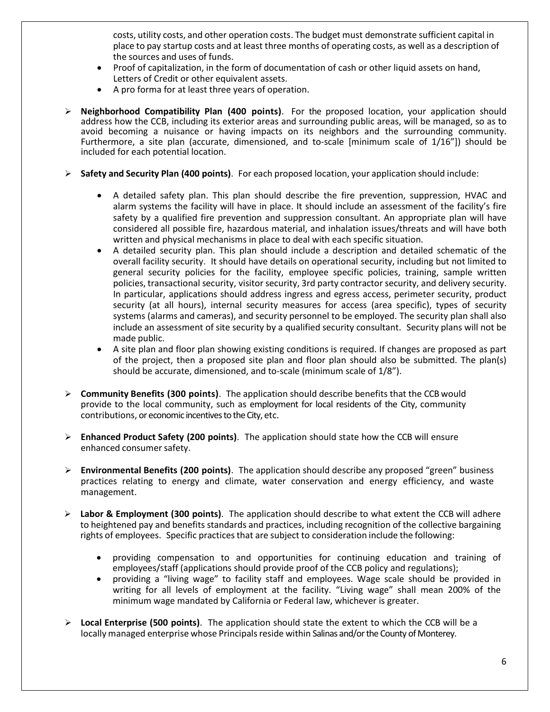costs, utility costs, and other operation costs. The budget must demonstrate sufficient capital in place to pay startup costs and at least three months of operating costs, as well as a description of the sources and uses of funds.

- Proof of capitalization, in the form of documentation of cash or other liquid assets on hand, Letters of Credit or other equivalent assets.
- A pro forma for at least three years of operation.
- **Neighborhood Compatibility Plan (400 points)**. For the proposed location, your application should address how the CCB, including its exterior areas and surrounding public areas, will be managed, so as to avoid becoming a nuisance or having impacts on its neighbors and the surrounding community. Furthermore, a site plan (accurate, dimensioned, and to-scale [minimum scale of 1/16"]) should be included for each potential location.
- **Safety and Security Plan (400 points)**. For each proposed location, your application should include:
	- A detailed safety plan. This plan should describe the fire prevention, suppression, HVAC and alarm systems the facility will have in place. It should include an assessment of the facility's fire safety by a qualified fire prevention and suppression consultant. An appropriate plan will have considered all possible fire, hazardous material, and inhalation issues/threats and will have both written and physical mechanisms in place to deal with each specific situation.
	- A detailed security plan. This plan should include a description and detailed schematic of the overall facility security. It should have details on operational security, including but not limited to general security policies for the facility, employee specific policies, training, sample written policies, transactional security, visitor security, 3rd party contractor security, and delivery security. In particular, applications should address ingress and egress access, perimeter security, product security (at all hours), internal security measures for access (area specific), types of security systems (alarms and cameras), and security personnel to be employed. The security plan shall also include an assessment of site security by a qualified security consultant. Security plans will not be made public.
	- A site plan and floor plan showing existing conditions is required. If changes are proposed as part of the project, then a proposed site plan and floor plan should also be submitted. The plan(s) should be accurate, dimensioned, and to-scale (minimum scale of 1/8").
- **Community Benefits (300 points)**. The application should describe benefits that the CCB would provide to the local community, such as employment for local residents of the City, community contributions, or economic incentives to the City, etc.
- **Enhanced Product Safety (200 points)**. The application should state how the CCB will ensure enhanced consumer safety.
- **Environmental Benefits (200 points)**. The application should describe any proposed "green" business practices relating to energy and climate, water conservation and energy efficiency, and waste management.
- **Labor & Employment (300 points)**. The application should describe to what extent the CCB will adhere to heightened pay and benefits standards and practices, including recognition of the collective bargaining rights of employees. Specific practices that are subject to consideration include the following:
	- providing compensation to and opportunities for continuing education and training of employees/staff (applications should provide proof of the CCB policy and regulations);
	- providing a "living wage" to facility staff and employees. Wage scale should be provided in writing for all levels of employment at the facility. "Living wage" shall mean 200% of the minimum wage mandated by California or Federal law, whichever is greater.
- **Local Enterprise (500 points)**. The application should state the extent to which the CCB will be a locally managed enterprise whose Principals reside within Salinas and/or the County of Monterey.